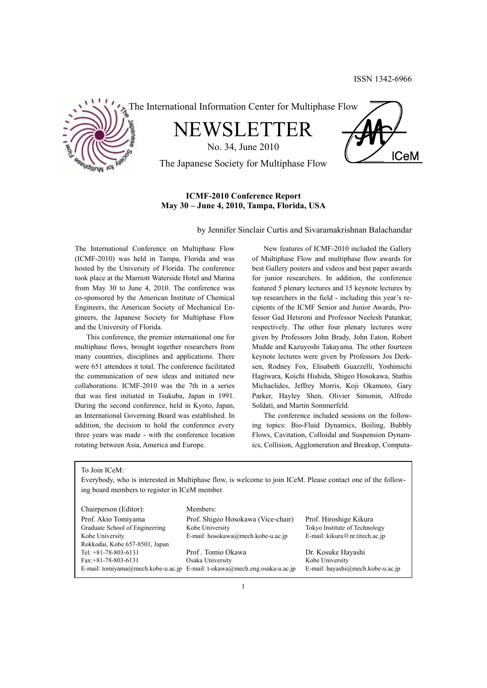**ICeM** 



The International Information Center for Multiphase Flow

NEWSLETTER

No. 34, June 2010

The Japanese Society for Multiphase Flow

# **ICMF-2010 Conference Report May 30 – June 4, 2010, Tampa, Florida, USA**

by Jennifer Sinclair Curtis and Sivaramakrishnan Balachandar

The International Conference on Multiphase Flow (ICMF-2010) was held in Tampa, Florida and was hosted by the University of Florida. The conference took place at the Marriott Waterside Hotel and Marina from May 30 to June 4, 2010. The conference was co-sponsored by the American Institute of Chemical Engineers, the American Society of Mechanical Engineers, the Japanese Society for Multiphase Flow and the University of Florida.

 This conference, the premier international one for multiphase flows, brought together researchers from many countries, disciplines and applications. There were 651 attendees it total. The conference facilitated the communication of new ideas and initiated new collaborations. ICMF-2010 was the 7th in a series that was first initiated in Tsukuba, Japan in 1991. During the second conference, held in Kyoto, Japan, an International Governing Board was established. In addition, the decision to hold the conference every three years was made - with the conference location rotating between Asia, America and Europe.

 New features of ICMF-2010 included the Gallery of Multiphase Flow and multiphase flow awards for best Gallery posters and videos and best paper awards for junior researchers. In addition, the conference featured 5 plenary lectures and 15 keynote lectures by top researchers in the field - including this year's recipients of the ICMF Senior and Junior Awards, Professor Gad Hetsroni and Professor Neelesh Patankar, respectively. The other four plenary lectures were given by Professors John Brady, John Eaton, Robert Mudde and Kazuyoshi Takayama. The other fourteen keynote lectures were given by Professors Jos Derksen, Rodney Fox, Elisabeth Guazzelli, Yoshimichi Hagiwara, Koichi Hishida, Shigeo Hosokawa, Stathis Michaelides, Jeffrey Morris, Koji Okamoto, Gary Parker, Hayley Shen, Olivier Simonin, Alfredo Soldati, and Martin Sommerfeld.

 The conference included sessions on the following topics: Bio-Fluid Dynamics, Boiling, Bubbly Flows, Cavitation, Colloidal and Suspension Dynamics, Collision, Agglomeration and Breakup, Computa-

To Join ICeM:

Everybody, who is interested in Multiphase flow, is welcome to join ICeM. Please contact one of the following board members to register in ICeM member.

| Chairperson (Editor):          | Members:                                                                  |                                   |
|--------------------------------|---------------------------------------------------------------------------|-----------------------------------|
| Prof. Akio Tomiyama            | Prof. Shigeo Hosokawa (Vice-chair)                                        | Prof. Hiroshige Kikura            |
| Graduate School of Engineering | Kobe University                                                           | Tokyo Institute of Technology     |
| Kobe University                | E-mail: hosokawa@mech.kobe-u.ac.jp                                        | E-mail: kikura@nr.titech.ac.jp    |
| Rokkodai, Kobe 657-8501, Japan |                                                                           |                                   |
| Tel: $+81-78-803-6131$         | Prof. Tomio Okawa                                                         | Dr. Kosuke Hayashi                |
| $Fax: +81-78-803-6131$         | Osaka University                                                          | Kobe University                   |
|                                | E-mail: tomiyama@mech.kobe-u.ac.jp E-mail: t-okawa@mech.eng.osaka-u.ac.jp | E-mail: hayashi@mech.kobe-u.ac.jp |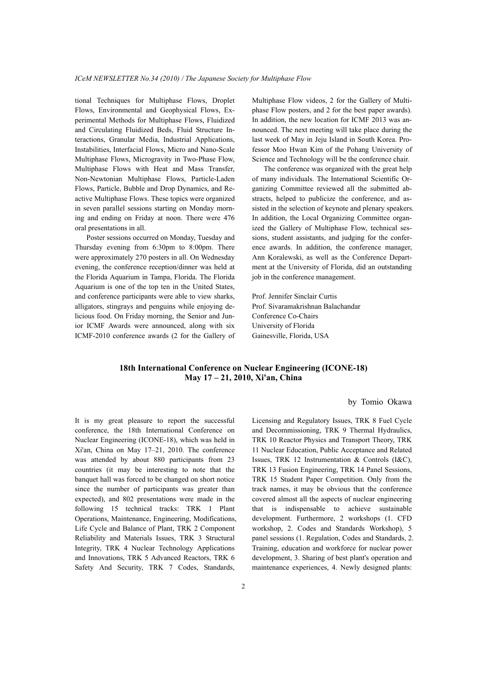tional Techniques for Multiphase Flows, Droplet Flows, Environmental and Geophysical Flows, Experimental Methods for Multiphase Flows, Fluidized and Circulating Fluidized Beds, Fluid Structure Interactions, Granular Media, Industrial Applications, Instabilities, Interfacial Flows, Micro and Nano-Scale Multiphase Flows, Microgravity in Two-Phase Flow, Multiphase Flows with Heat and Mass Transfer, Non-Newtonian Multiphase Flows, Particle-Laden Flows, Particle, Bubble and Drop Dynamics, and Reactive Multiphase Flows. These topics were organized in seven parallel sessions starting on Monday morning and ending on Friday at noon. There were 476 oral presentations in all.

 Poster sessions occurred on Monday, Tuesday and Thursday evening from 6:30pm to 8:00pm. There were approximately 270 posters in all. On Wednesday evening, the conference reception/dinner was held at the Florida Aquarium in Tampa, Florida. The Florida Aquarium is one of the top ten in the United States, and conference participants were able to view sharks, alligators, stingrays and penguins while enjoying delicious food. On Friday morning, the Senior and Junior ICMF Awards were announced, along with six ICMF-2010 conference awards (2 for the Gallery of Multiphase Flow videos, 2 for the Gallery of Multiphase Flow posters, and 2 for the best paper awards). In addition, the new location for ICMF 2013 was announced. The next meeting will take place during the last week of May in Jeju Island in South Korea. Professor Moo Hwan Kim of the Pohang University of Science and Technology will be the conference chair.

 The conference was organized with the great help of many individuals. The International Scientific Organizing Committee reviewed all the submitted abstracts, helped to publicize the conference, and assisted in the selection of keynote and plenary speakers. In addition, the Local Organizing Committee organized the Gallery of Multiphase Flow, technical sessions, student assistants, and judging for the conference awards. In addition, the conference manager, Ann Koralewski, as well as the Conference Department at the University of Florida, did an outstanding job in the conference management.

Prof. Jennifer Sinclair Curtis Prof. Sivaramakrishnan Balachandar Conference Co-Chairs University of Florida Gainesville, Florida, USA

# **18th International Conference on Nuclear Engineering (ICONE-18) May 17 – 21, 2010, Xi'an, China**

#### by Tomio Okawa

It is my great pleasure to report the successful conference, the 18th International Conference on Nuclear Engineering (ICONE-18), which was held in Xi'an, China on May 17–21, 2010. The conference was attended by about 880 participants from 23 countries (it may be interesting to note that the banquet hall was forced to be changed on short notice since the number of participants was greater than expected), and 802 presentations were made in the following 15 technical tracks: TRK 1 Plant Operations, Maintenance, Engineering, Modifications, Life Cycle and Balance of Plant, TRK 2 Component Reliability and Materials Issues, TRK 3 Structural Integrity, TRK 4 Nuclear Technology Applications and Innovations, TRK 5 Advanced Reactors, TRK 6 Safety And Security, TRK 7 Codes, Standards,

Licensing and Regulatory Issues, TRK 8 Fuel Cycle and Decommissioning, TRK 9 Thermal Hydraulics, TRK 10 Reactor Physics and Transport Theory, TRK 11 Nuclear Education, Public Acceptance and Related Issues, TRK 12 Instrumentation & Controls (I&C), TRK 13 Fusion Engineering, TRK 14 Panel Sessions, TRK 15 Student Paper Competition. Only from the track names, it may be obvious that the conference covered almost all the aspects of nuclear engineering that is indispensable to achieve sustainable development. Furthermore, 2 workshops (1. CFD workshop, 2. Codes and Standards Workshop), 5 panel sessions (1. Regulation, Codes and Standards, 2. Training, education and workforce for nuclear power development, 3. Sharing of best plant's operation and maintenance experiences, 4. Newly designed plants: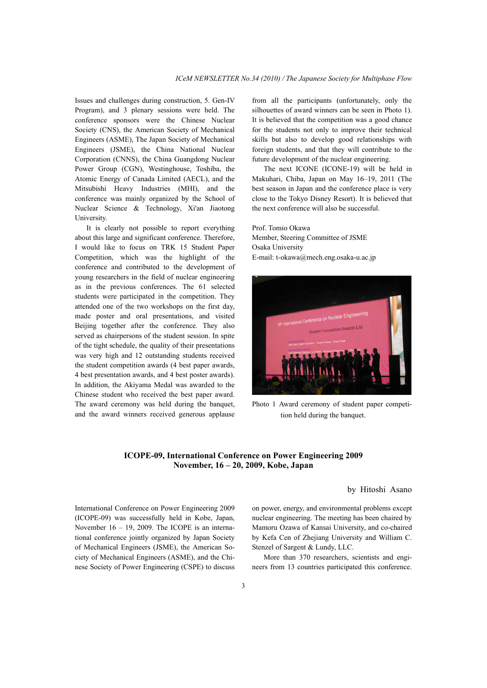Issues and challenges during construction, 5. Gen-IV Program), and 3 plenary sessions were held. The conference sponsors were the Chinese Nuclear Society (CNS), the American Society of Mechanical Engineers (ASME), The Japan Society of Mechanical Engineers (JSME), the China National Nuclear Corporation (CNNS), the China Guangdong Nuclear Power Group (CGN), Westinghouse, Toshiba, the Atomic Energy of Canada Limited (AECL), and the Mitsubishi Heavy Industries (MHI), and the conference was mainly organized by the School of Nuclear Science & Technology, Xi'an Jiaotong University.

 It is clearly not possible to report everything about this large and significant conference. Therefore, I would like to focus on TRK 15 Student Paper Competition, which was the highlight of the conference and contributed to the development of young researchers in the field of nuclear engineering as in the previous conferences. The 61 selected students were participated in the competition. They attended one of the two workshops on the first day, made poster and oral presentations, and visited Beijing together after the conference. They also served as chairpersons of the student session. In spite of the tight schedule, the quality of their presentations was very high and 12 outstanding students received the student competition awards (4 best paper awards, 4 best presentation awards, and 4 best poster awards). In addition, the Akiyama Medal was awarded to the Chinese student who received the best paper award. The award ceremony was held during the banquet, and the award winners received generous applause

from all the participants (unfortunately, only the silhouettes of award winners can be seen in Photo 1). It is believed that the competition was a good chance for the students not only to improve their technical skills but also to develop good relationships with foreign students, and that they will contribute to the future development of the nuclear engineering.

 The next ICONE (ICONE-19) will be held in Makuhari, Chiba, Japan on May 16–19, 2011 (The best season in Japan and the conference place is very close to the Tokyo Disney Resort). It is believed that the next conference will also be successful.

Prof. Tomio Okawa Member, Steering Committee of JSME Osaka University E-mail: t-okawa@mech.eng.osaka-u.ac.jp



Photo 1 Award ceremony of student paper competition held during the banquet.

# **ICOPE-09, International Conference on Power Engineering 2009 November, 16 – 20, 2009, Kobe, Japan**

by Hitoshi Asano

International Conference on Power Engineering 2009 (ICOPE-09) was successfully held in Kobe, Japan, November 16 – 19, 2009. The ICOPE is an international conference jointly organized by Japan Society of Mechanical Engineers (JSME), the American Society of Mechanical Engineers (ASME), and the Chinese Society of Power Engineering (CSPE) to discuss on power, energy, and environmental problems except nuclear engineering. The meeting has been chaired by Mamoru Ozawa of Kansai University, and co-chaired by Kefa Cen of Zhejiang University and William C. Stenzel of Sargent & Lundy, LLC.

 More than 370 researchers, scientists and engineers from 13 countries participated this conference.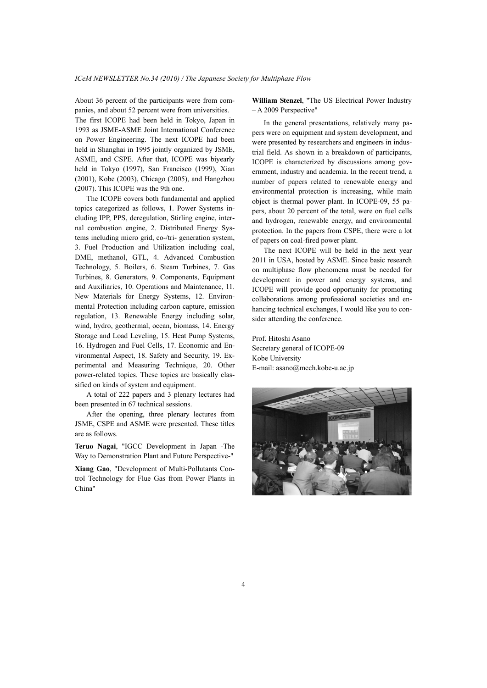About 36 percent of the participants were from companies, and about 52 percent were from universities. The first ICOPE had been held in Tokyo, Japan in 1993 as JSME-ASME Joint International Conference on Power Engineering. The next ICOPE had been held in Shanghai in 1995 jointly organized by JSME, ASME, and CSPE. After that, ICOPE was biyearly held in Tokyo (1997), San Francisco (1999), Xian (2001), Kobe (2003), Chicago (2005), and Hangzhou (2007). This ICOPE was the 9th one.

 The ICOPE covers both fundamental and applied topics categorized as follows, 1. Power Systems including IPP, PPS, deregulation, Stirling engine, internal combustion engine, 2. Distributed Energy Systems including micro grid, co-/tri- generation system, 3. Fuel Production and Utilization including coal, DME, methanol, GTL, 4. Advanced Combustion Technology, 5. Boilers, 6. Steam Turbines, 7. Gas Turbines, 8. Generators, 9. Components, Equipment and Auxiliaries, 10. Operations and Maintenance, 11. New Materials for Energy Systems, 12. Environmental Protection including carbon capture, emission regulation, 13. Renewable Energy including solar, wind, hydro, geothermal, ocean, biomass, 14. Energy Storage and Load Leveling, 15. Heat Pump Systems, 16. Hydrogen and Fuel Cells, 17. Economic and Environmental Aspect, 18. Safety and Security, 19. Experimental and Measuring Technique, 20. Other power-related topics. These topics are basically classified on kinds of system and equipment.

 A total of 222 papers and 3 plenary lectures had been presented in 67 technical sessions.

 After the opening, three plenary lectures from JSME, CSPE and ASME were presented. These titles are as follows.

**Teruo Nagai**, "IGCC Development in Japan -The Way to Demonstration Plant and Future Perspective-"

**Xiang Gao**, "Development of Multi-Pollutants Control Technology for Flue Gas from Power Plants in China"

**William Stenzel**, "The US Electrical Power Industry – A 2009 Perspective"

 In the general presentations, relatively many papers were on equipment and system development, and were presented by researchers and engineers in industrial field. As shown in a breakdown of participants, ICOPE is characterized by discussions among government, industry and academia. In the recent trend, a number of papers related to renewable energy and environmental protection is increasing, while main object is thermal power plant. In ICOPE-09, 55 papers, about 20 percent of the total, were on fuel cells and hydrogen, renewable energy, and environmental protection. In the papers from CSPE, there were a lot of papers on coal-fired power plant.

 The next ICOPE will be held in the next year 2011 in USA, hosted by ASME. Since basic research on multiphase flow phenomena must be needed for development in power and energy systems, and ICOPE will provide good opportunity for promoting collaborations among professional societies and enhancing technical exchanges, I would like you to consider attending the conference.

Prof. Hitoshi Asano Secretary general of ICOPE-09 Kobe University E-mail: asano@mech.kobe-u.ac.jp

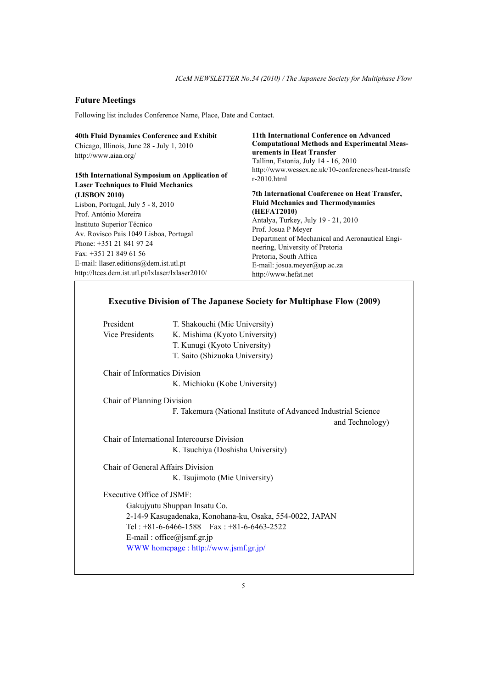# **Future Meetings**

Following list includes Conference Name, Place, Date and Contact.

| 40th Fluid Dynamics Conference and Exhibit<br>Chicago, Illinois, June 28 - July 1, 2010<br>http://www.aiaa.org/                                                                                                                                                                                               | 11th International Conference on Advanced<br><b>Computational Methods and Experimental Meas-</b><br>urements in Heat Transfer<br>Tallinn, Estonia, July 14 - 16, 2010                                                                                                                                                                            |
|---------------------------------------------------------------------------------------------------------------------------------------------------------------------------------------------------------------------------------------------------------------------------------------------------------------|--------------------------------------------------------------------------------------------------------------------------------------------------------------------------------------------------------------------------------------------------------------------------------------------------------------------------------------------------|
| 15th International Symposium on Application of<br><b>Laser Techniques to Fluid Mechanics</b>                                                                                                                                                                                                                  | http://www.wessex.ac.uk/10-conferences/heat-transfe<br>$r=2010.html$                                                                                                                                                                                                                                                                             |
| (LISBON 2010)<br>Lisbon, Portugal, July $5 - 8$ , 2010<br>Prof. António Moreira<br>Instituto Superior Técnico<br>Av. Rovisco Pais 1049 Lisboa, Portugal<br>Phone: +351 21 841 97 24<br>Fax: $+351$ 21 849 61 56<br>E-mail: llaser.editions@dem.ist.utl.pt<br>http://ltces.dem.ist.utl.pt/lxlaser/lxlaser2010/ | 7th International Conference on Heat Transfer,<br><b>Fluid Mechanics and Thermodynamics</b><br>(HEFAT2010)<br>Antalya, Turkey, July 19 - 21, 2010<br>Prof. Josua P Meyer<br>Department of Mechanical and Aeronautical Engi-<br>neering, University of Pretoria<br>Pretoria, South Africa<br>E-mail: josua.meyer@up.ac.za<br>http://www.hefat.net |

| <b>Executive Division of The Japanese Society for Multiphase Flow (2009)</b> |                                                                                                                                                                        |  |
|------------------------------------------------------------------------------|------------------------------------------------------------------------------------------------------------------------------------------------------------------------|--|
| President<br><b>Vice Presidents</b>                                          | T. Shakouchi (Mie University)<br>K. Mishima (Kyoto University)                                                                                                         |  |
|                                                                              | T. Kunugi (Kyoto University)<br>T. Saito (Shizuoka University)                                                                                                         |  |
| <b>Chair of Informatics Division</b>                                         | K. Michioku (Kobe University)                                                                                                                                          |  |
| Chair of Planning Division                                                   | F. Takemura (National Institute of Advanced Industrial Science<br>and Technology)                                                                                      |  |
|                                                                              | Chair of International Intercourse Division<br>K. Tsuchiya (Doshisha University)                                                                                       |  |
| Chair of General Affairs Division                                            | K. Tsujimoto (Mie University)                                                                                                                                          |  |
| Executive Office of $ISMF$                                                   | Gakujyutu Shuppan Insatu Co.<br>2-14-9 Kasugadenaka, Konohana-ku, Osaka, 554-0022, JAPAN<br>Tel: $+81-6-6466-1588$ Fax: $+81-6-6463-2522$<br>E-mail: office@jsmf.gr.jp |  |
|                                                                              | WWW homepage: http://www.jsmf.gr.jp/                                                                                                                                   |  |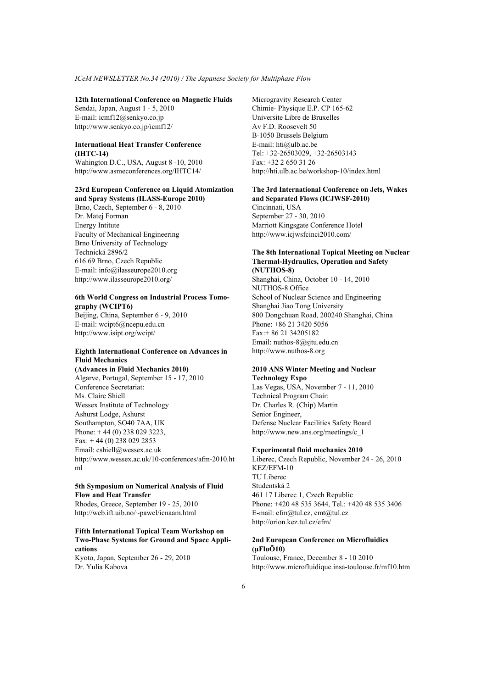### **12th International Conference on Magnetic Fluids**

Sendai, Japan, August 1 - 5, 2010 E-mail: icmf12@senkyo.co.jp http://www.senkyo.co.jp/icmf12/

## **International Heat Transfer Conference (IHTC-14)**

Wahington D.C., USA, August 8 -10, 2010 http://www.asmeconferences.org/IHTC14/

### **23rd European Conference on Liquid Atomization and Spray Systems (ILASS-Europe 2010)**

Brno, Czech, September 6 - 8, 2010 Dr. Matej Forman Energy Intitute Faculty of Mechanical Engineering Brno University of Technology Technická 2896/2 616 69 Brno, Czech Republic E-mail: info@ilasseurope2010.org http://www.ilasseurope2010.org/

#### **6th World Congress on Industrial Process Tomography (WCIPT6)**

Beijing, China, September 6 - 9, 2010 E-mail: wcipt6@ncepu.edu.cn http://www.isipt.org/wcipt/

# **Eighth International Conference on Advances in Fluid Mechanics**

**(Advances in Fluid Mechanics 2010)**  Algarve, Portugal, September 15 - 17, 2010 Conference Secretariat: Ms. Claire Shiell Wessex Institute of Technology Ashurst Lodge, Ashurst Southampton, SO40 7AA, UK Phone: + 44 (0) 238 029 3223, Fax:  $+44(0)$  238 029 2853 Email: cshiell@wessex.ac.uk http://www.wessex.ac.uk/10-conferences/afm-2010.ht ml

## **5th Symposium on Numerical Analysis of Fluid Flow and Heat Transfer**

Rhodes, Greece, September 19 - 25, 2010 http://web.ift.uib.no/~pawel/icnaam.html

## **Fifth International Topical Team Workshop on Two-Phase Systems for Ground and Space Applications**

Kyoto, Japan, September 26 - 29, 2010 Dr. Yulia Kabova

Microgravity Research Center Chimie- Physique E.P. CP 165-62 Universite Libre de Bruxelles Av F.D. Roosevelt 50 B-1050 Brussels Belgium E-mail: hti@ulb.ac.be Tel: +32-26503029, +32-26503143  $Fax + 32 2 650 31 26$ http://hti.ulb.ac.be/workshop-10/index.html

#### **The 3rd International Conference on Jets, Wakes and Separated Flows (ICJWSF-2010)**

Cincinnati, USA September 27 - 30, 2010 Marriott Kingsgate Conference Hotel http://www.icjwsfcinci2010.com/

#### **The 8th International Topical Meeting on Nuclear Thermal-Hydraulics, Operation and Safety (NUTHOS-8)**

Shanghai, China, October 10 - 14, 2010 NUTHOS-8 Office School of Nuclear Science and Engineering Shanghai Jiao Tong University 800 Dongchuan Road, 200240 Shanghai, China Phone: +86 21 3420 5056 Fax:+ 86 21 34205182 Email: nuthos-8@sjtu.edu.cn http://www.nuthos-8.org

## **2010 ANS Winter Meeting and Nuclear Technology Expo**

Las Vegas, USA, November 7 - 11, 2010 Technical Program Chair: Dr. Charles R. (Chip) Martin Senior Engineer, Defense Nuclear Facilities Safety Board http://www.new.ans.org/meetings/c\_1

## **Experimental fluid mechanics 2010**

Liberec, Czech Republic, November 24 - 26, 2010 KEZ/EFM-10 TU Liberec Studentská 2 461 17 Liberec 1, Czech Republic Phone: +420 48 535 3644, Tel.: +420 48 535 3406 E-mail: efm@tul.cz, emt@tul.cz http://orion.kez.tul.cz/efm/

### **2nd European Conference on Microfluidics (µFluÕ10)**

Toulouse, France, December 8 - 10 2010 http://www.microfluidique.insa-toulouse.fr/mf10.htm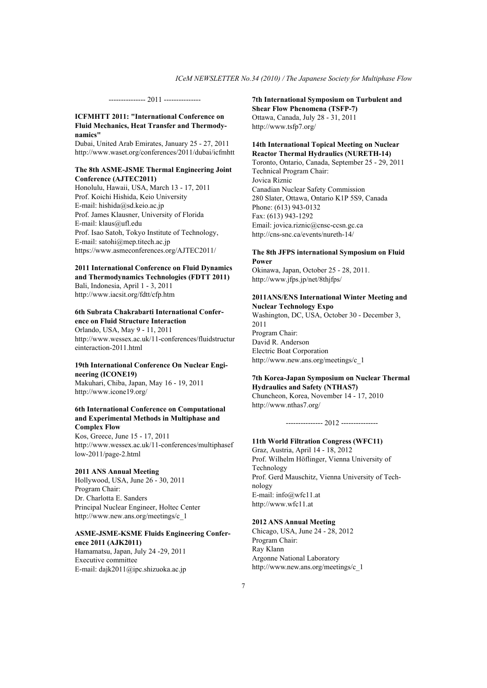--------------- 2011 ---------------

## **ICFMHTT 2011: "International Conference on Fluid Mechanics, Heat Transfer and Thermodynamics"**

Dubai, United Arab Emirates, January 25 - 27, 2011 http://www.waset.org/conferences/2011/dubai/icfmhtt

#### **The 8th ASME-JSME Thermal Engineering Joint Conference (AJTEC2011)**

Honolulu, Hawaii, USA, March 13 - 17, 2011 Prof. Koichi Hishida, Keio University E-mail: hishida@sd.keio.ac.jp Prof. James Klausner, University of Florida E-mail: klaus@ufl.edu Prof. Isao Satoh, Tokyo Institute of Technology, E-mail: satohi@mep.titech.ac.jp https://www.asmeconferences.org/AJTEC2011/

## **2011 International Conference on Fluid Dynamics and Thermodynamics Technologies (FDTT 2011)**

Bali, Indonesia, April 1 - 3, 2011 http://www.iacsit.org/fdtt/cfp.htm

#### **6th Subrata Chakrabarti International Conference on Fluid Structure Interaction**

Orlando, USA, May 9 - 11, 2011 http://www.wessex.ac.uk/11-conferences/fluidstructur einteraction-2011.html

#### **19th International Conference On Nuclear Engineering (ICONE19)**

Makuhari, Chiba, Japan, May 16 - 19, 2011 http://www.icone19.org/

#### **6th International Conference on Computational and Experimental Methods in Multiphase and Complex Flow**

Kos, Greece, June 15 - 17, 2011 http://www.wessex.ac.uk/11-conferences/multiphasef low-2011/page-2.html

#### **2011 ANS Annual Meeting**

Hollywood, USA, June 26 - 30, 2011 Program Chair: Dr. Charlotta E. Sanders Principal Nuclear Engineer, Holtec Center http://www.new.ans.org/meetings/c\_1

#### **ASME-JSME-KSME Fluids Engineering Conference 2011 (AJK2011)**

Hamamatsu, Japan, July 24 -29, 2011 Executive committee E-mail: dajk2011@ipc.shizuoka.ac.jp

### **7th International Symposium on Turbulent and Shear Flow Phenomena (TSFP-7)**  Ottawa, Canada, July 28 - 31, 2011

http://www.tsfp7.org/

## **14th International Topical Meeting on Nuclear Reactor Thermal Hydraulics (NURETH-14)**

Toronto, Ontario, Canada, September 25 - 29, 2011 Technical Program Chair: Jovica Riznic Canadian Nuclear Safety Commission 280 Slater, Ottawa, Ontario K1P 5S9, Canada Phone: (613) 943-0132 Fax: (613) 943-1292 Email: jovica.riznic@cnsc-ccsn.gc.ca http://cns-snc.ca/events/nureth-14/

## **The 8th JFPS international Symposium on Fluid Power**

Okinawa, Japan, October 25 - 28, 2011. http://www.jfps.jp/net/8thjfps/

#### **2011ANS/ENS International Winter Meeting and Nuclear Technology Expo**

Washington, DC, USA, October 30 - December 3, 2011 Program Chair: David R. Anderson Electric Boat Corporation http://www.new.ans.org/meetings/c\_1

## **7th Korea-Japan Symposium on Nuclear Thermal Hydraulics and Safety (NTHAS7)**

Chuncheon, Korea, November 14 - 17, 2010 http://www.nthas7.org/

#### --------------- 2012 ---------------

#### **11th World Filtration Congress (WFC11)**

Graz, Austria, April 14 - 18, 2012 Prof. Wilhelm Höflinger, Vienna University of Technology Prof. Gerd Mauschitz, Vienna University of Technology E-mail: info@wfc11.at http://www.wfc11.at

#### **2012 ANS Annual Meeting**

Chicago, USA, June 24 - 28, 2012 Program Chair: Ray Klann Argonne National Laboratory http://www.new.ans.org/meetings/c\_1